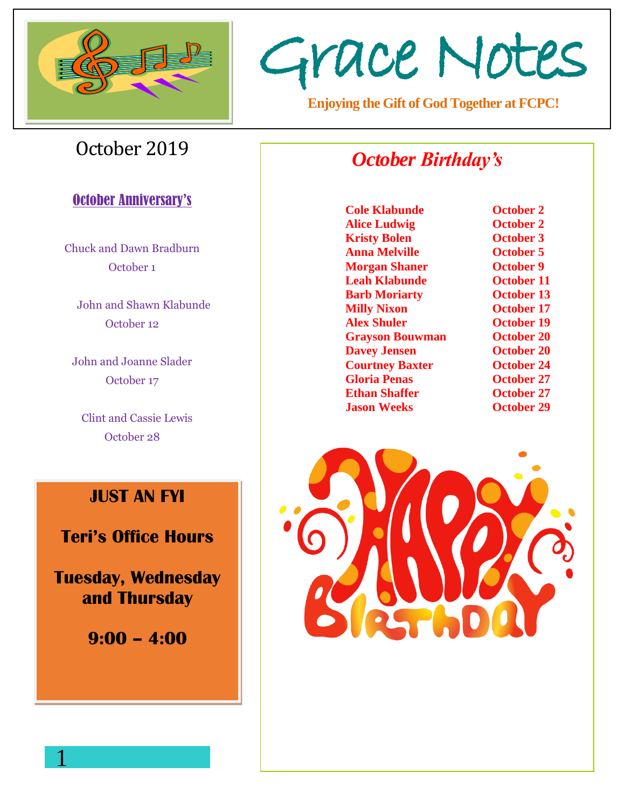

# Grace Notes

**Enjoying the Gift of God Together at FCPC!**

# October 2019

### **October Anniversary's**

Chuck and Dawn Bradburn October 1

 John and Shawn Klabunde October 12

John and Joanne Slader October 17

Clint and Cassie Lewis October 28

# **JUST AN FYI**

**Teri's Office Hours**

**Tuesday, Wednesday and Thursday** 

**9:00 – 4:00** 

1

# *October Birthday's*

**Cole Klabunde October 2 Alice Ludwig October 2 Kristy Bolen October 3 Anna Melville October 5 Morgan Shaner October 9 Leah Klabunde October 11 Barb Moriarty October 13 Milly Nixon October 17 Alex Shuler October 19 Grayson Bouwman October 20 Davey Jensen October 20 Courtney Baxter October 24 Gloria Penas October 27 Ethan Shaffer October 27 Jason Weeks October 29**

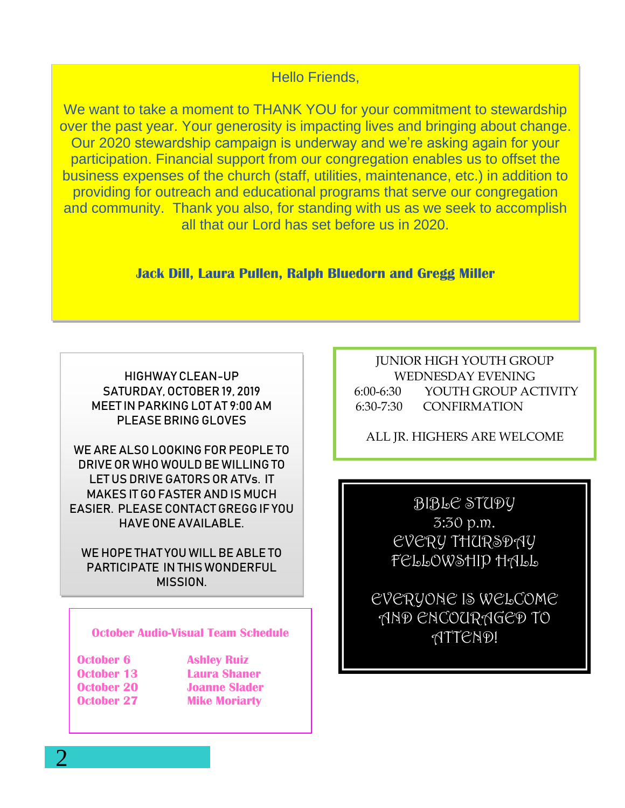#### Hello Friends,

We want to take a moment to THANK YOU for your commitment to stewardship over the past year. Your generosity is impacting lives and bringing about change. Our 2020 stewardship campaign is underway and we're asking again for your participation. Financial support from our congregation enables us to offset the business expenses of the church (staff, utilities, maintenance, etc.) in addition to providing for outreach and educational programs that serve our congregation and community. Thank you also, for standing with us as we seek to accomplish all that our Lord has set before us in 2020.

**Jack Dill, Laura Pullen, Ralph Bluedorn and Gregg Miller**

HIGHWAY CLEAN-UP SATURDAY, OCTOBER 19, 2019 MEET IN PARKING LOT AT 9:00 AM PLEASE BRING GLOVES

WE ARE ALSO LOOKING FOR PEOPLE TO DRIVE OR WHO WOULD BE WILLING TO LET US DRIVE GATORS OR ATVs. IT MAKES IT GO FASTER AND IS MUCH EASIER. PLEASE CONTACT GREGG IF YOU HAVE ONE AVAILABLE.

WE HOPE THAT YOU WILL BE ABLETO PARTICIPATE IN THIS WONDERFUL MISSION.

#### **October Audio-Visual Team Schedule**

**October 6 Ashley Ruiz October 13 Laura Shaner October 27 Mike Moriarty**

**October 20 Joanne Slader**

JUNIOR HIGH YOUTH GROUP WEDNESDAY EVENING 6:00-6:30 YOUTH GROUP ACTIVITY 6:30-7:30 CONFIRMATION

ALL JR. HIGHERS ARE WELCOME

BIBLE STUDY 3:30 p.m. EVERY THURSDAY FELLOWSHIP HALL

EVERYONE IS WELCOME AND ENCOURAGED TO ATTEND!

2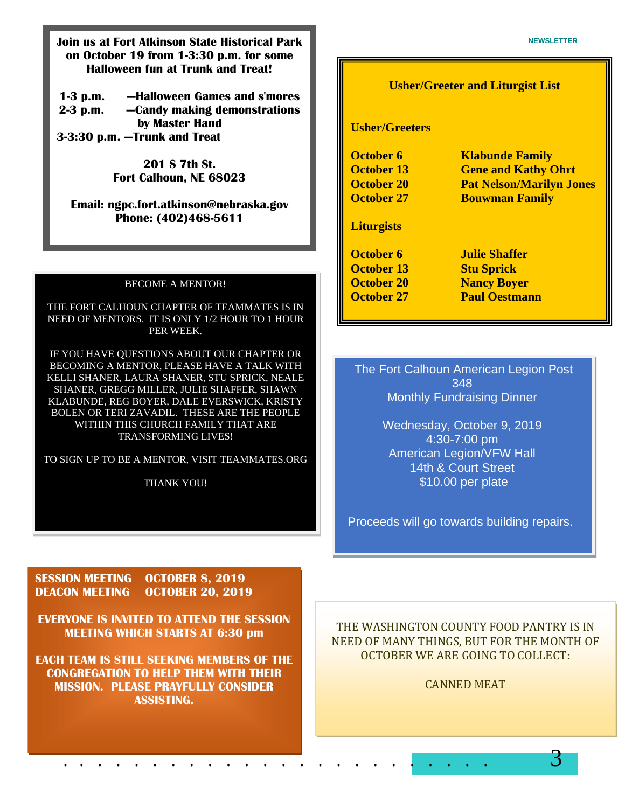**1-3 p.m. —Halloween Games and s'mores 2-3 p.m. —Candy making demonstrations by Master Hand 3-3:30 p.m. —Trunk and Treat**

> **201 S 7th St. Fort Calhoun, NE 68023**

#### **Email: ngpc.fort.atkinson@nebraska.gov Phone: (402)468-5611**

#### BECOME A MENTOR!

THE FORT CALHOUN CHAPTER OF TEAMMATES IS IN NEED OF MENTORS. IT IS ONLY 1/2 HOUR TO 1 HOUR PER WEEK.

IF YOU HAVE QUESTIONS ABOUT OUR CHAPTER OR BECOMING A MENTOR, PLEASE HAVE A TALK WITH KELLI SHANER, LAURA SHANER, STU SPRICK, NEALE SHANER, GREGG MILLER, JULIE SHAFFER, SHAWN KLABUNDE, REG BOYER, DALE EVERSWICK, KRISTY BOLEN OR TERI ZAVADIL. THESE ARE THE PEOPLE WITHIN THIS CHURCH FAMILY THAT ARE TRANSFORMING LIVES!

TO SIGN UP TO BE A MENTOR, VISIT TEAMMATES.ORG

THANK YOU!

#### **Usher/Greeter and Liturgist List**

#### **Usher/Greeters**

| <b>Klabunde Family</b>          |
|---------------------------------|
| <b>Gene and Kathy Ohrt</b>      |
| <b>Pat Nelson/Marilyn Jones</b> |
| <b>Bouwman Family</b>           |
|                                 |
| <b>Julie Shaffer</b>            |
| <b>Stu Sprick</b>               |
| <b>Nancy Boyer</b>              |
| <b>Paul Oestmann</b>            |
|                                 |

#### The Fort Calhoun American Legion Post 348 Monthly Fundraising Dinner

Wednesday, October 9, 2019 4:30-7:00 pm American Legion/VFW Hall 14th & Court Street \$10.00 per plate

Proceeds will go towards building repairs.

**SESSION MEETING OCTOBER 8, 2019 DEACON MEETING OCTOBER 20, 2019**

**EVERYONE IS INVITED TO ATTEND THE SESSION MEETING WHICH STARTS AT 6:30 pm**

**EACH TEAM IS STILL SEEKING MEMBERS OF THE CONGREGATION TO HELP THEM WITH THEIR MISSION. PLEASE PRAYFULLY CONSIDER ASSISTING.** 

. . . . . . . . . . . . . . . . . . . . . . . . 3

THE WASHINGTON COUNTY FOOD PANTRY IS IN NEED OF MANY THINGS, BUT FOR THE MONTH OF OCTOBER WE ARE GOING TO COLLECT:

CANNED MEAT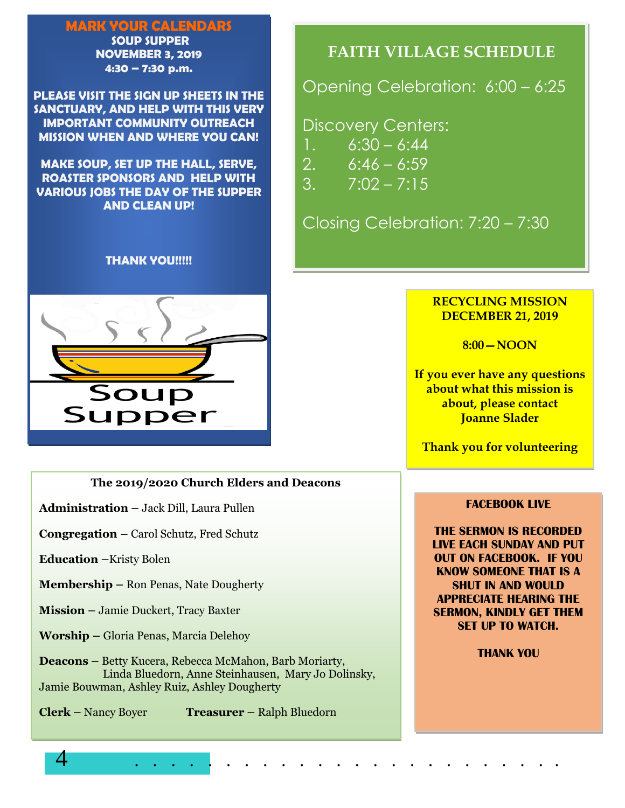#### MARK YOUR CALENDARS

SOUP SUPPER NOVEMBER 3, 2019 4:30 – 7:30 p.m.

PLEASE VISIT THE SIGN UP SHEETS IN THE SANCTUARY, AND HELP WITH THIS VERY IMPORTANT COMMUNITY OUTREACH MISSION WHEN AND WHERE YOU CAN!

MAKE SOUP, SET UP THE HALL, SERVE, ROASTER SPONSORS AND HELP WITH VARIOUS JOBS THE DAY OF THE SUPPER AND CLEAN UP!

#### THANK YOU!!!!!



#### **The 2019/2020 Church Elders and Deacons**

**Administration –** Jack Dill, Laura Pullen

**Congregation –** Carol Schutz, Fred Schutz

**Education –**Kristy Bolen

**Membership –** Ron Penas, Nate Dougherty

**Mission –** Jamie Duckert, Tracy Baxter

**Worship –** Gloria Penas, Marcia Delehoy

**Deacons –** Betty Kucera, Rebecca McMahon, Barb Moriarty, Linda Bluedorn, Anne Steinhausen, Mary Jo Dolinsky, Jamie Bouwman, Ashley Ruiz, Ashley Dougherty

**Clerk –** Nancy Boyer **Treasurer –** Ralph Bluedorn

# **FAITH VILLAGE SCHEDULE**

Opening Celebration: 6:00 – 6:25

Discovery Centers:

- $1. 6:30 6:44$
- 2.  $6:46 6:59$
- $3. \qquad 7:02 7:15$

Closing Celebration: 7:20 – 7:30

#### **RECYCLING MISSION DECEMBER 21, 2019**

**8:00—NOON** 

**If you ever have any questions about what this mission is about, please contact Joanne Slader** 

**Thank you for volunteering**

#### **FACEBOOK LIVE**

**THE SERMON IS RECORDED LIVE EACH SUNDAY AND PUT OUT ON FACEBOOK. IF YOU KNOW SOMEONE THAT IS A SHUT IN AND WOULD APPRECIATE HEARING THE SERMON, KINDLY GET THEM SET UP TO WATCH.** 

**THANK YOU**

4 . . . . . . . . . . . . . . . . . . . . . . . .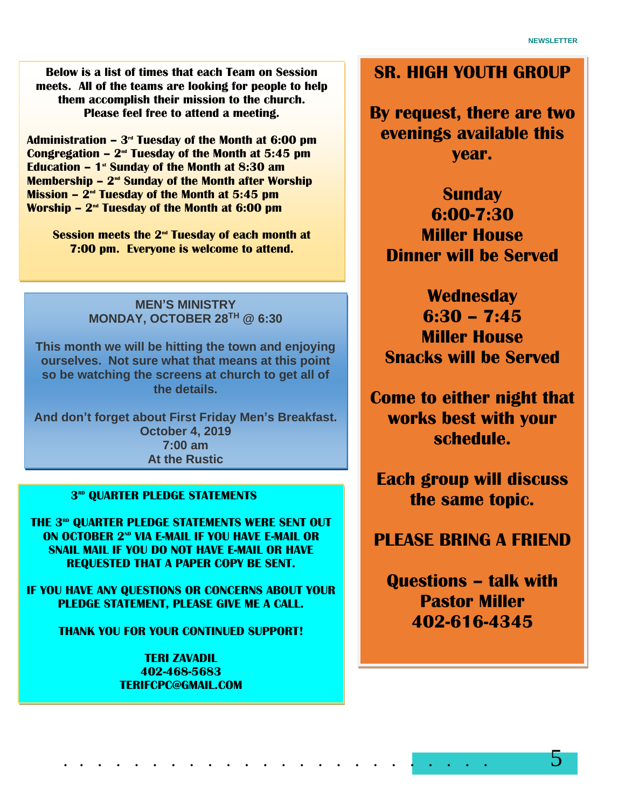**Below is a list of times that each Team on Session meets. All of the teams are looking for people to help them accomplish their mission to the church. Please feel free to attend a meeting.** 

**Administration – 3 rd Tuesday of the Month at 6:00 pm Congregation – 2 nd Tuesday of the Month at 5:45 pm Education – 1 st Sunday of the Month at 8:30 am Membership – 2<sup>nd</sup> Sunday of the Month after Worship Mission – 2 nd Tuesday of the Month at 5:45 pm Worship – 2 nd Tuesday of the Month at 6:00 pm** 

**Session meets the 2nd Tuesday of each month at 7:00 pm. Everyone is welcome to attend.**

#### **MEN'S MINISTRY MONDAY, OCTOBER 28TH @ 6:30**

**This month we will be hitting the town and enjoying ourselves. Not sure what that means at this point so be watching the screens at church to get all of the details.** 

**And don't forget about First Friday Men's Breakfast. October 4, 2019 7:00 am At the Rustic** 

#### **3 RD QUARTER PLEDGE STATEMENTS**

**THE 3 RD QUARTER PLEDGE STATEMENTS WERE SENT OUT ON OCTOBER 2<sup>ND</sup> VIA F-MAIL IF YOU HAVE F-MAIL OR SNAIL MAIL IF YOU DO NOT HAVE E-MAIL OR HAVE REQUESTED THAT A PAPER COPY BE SENT.** 

**IF YOU HAVE ANY QUESTIONS OR CONCERNS ABOUT YOUR PLEDGE STATEMENT, PLEASE GIVE ME A CALL.** 

**THANK YOU FOR YOUR CONTINUED SUPPORT!** 

**TERI ZAVADIL 402-468-5683 TERIFCPC@GMAIL.COM**

# **SR. HIGH YOUTH GROUP**

**By request, there are two evenings available this year.** 

**Sunday 6:00-7:30 Miller House Dinner will be Served** 

**Wednesday 6:30 – 7:45 Miller House Snacks will be Served** 

**Come to either night that works best with your schedule.** 

**Each group will discuss the same topic.** 

## **PLEASE BRING A FRIEND**

**Questions – talk with Pastor Miller 402-616-4345**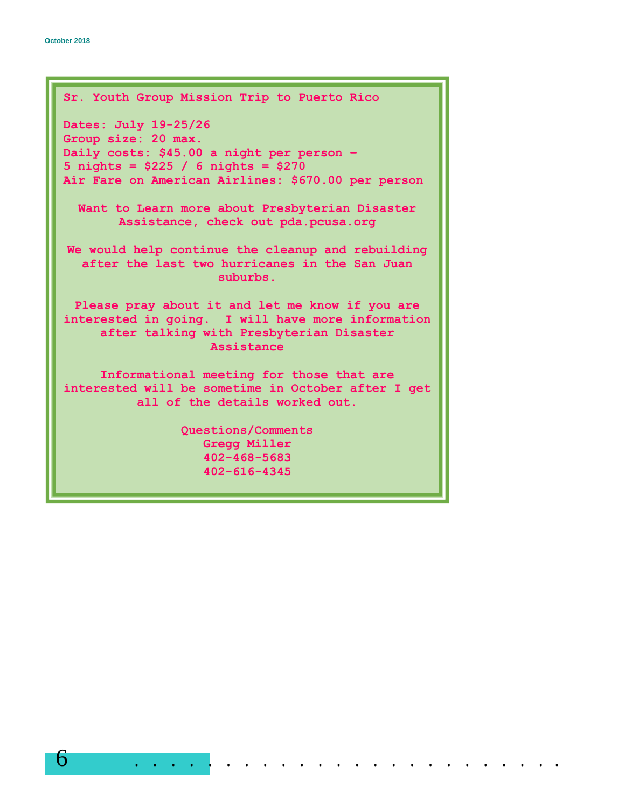```
Sr. Youth Group Mission Trip to Puerto Rico
Dates: July 19-25/26
Group size: 20 max.
Daily costs: $45.00 a night per person –
5 nights = $225 / 6 nights = $270
Air Fare on American Airlines: $670.00 per person
  Want to Learn more about Presbyterian Disaster 
       Assistance, check out pda.pcusa.org
We would help continue the cleanup and rebuilding 
  after the last two hurricanes in the San Juan 
                     suburbs.
 Please pray about it and let me know if you are 
interested in going. I will have more information 
     after talking with Presbyterian Disaster 
                    Assistance
     Informational meeting for those that are 
interested will be sometime in October after I get 
          all of the details worked out. 
                Questions/Comments 
                   Gregg Miller
                   402-468-5683
                   402-616-4345
```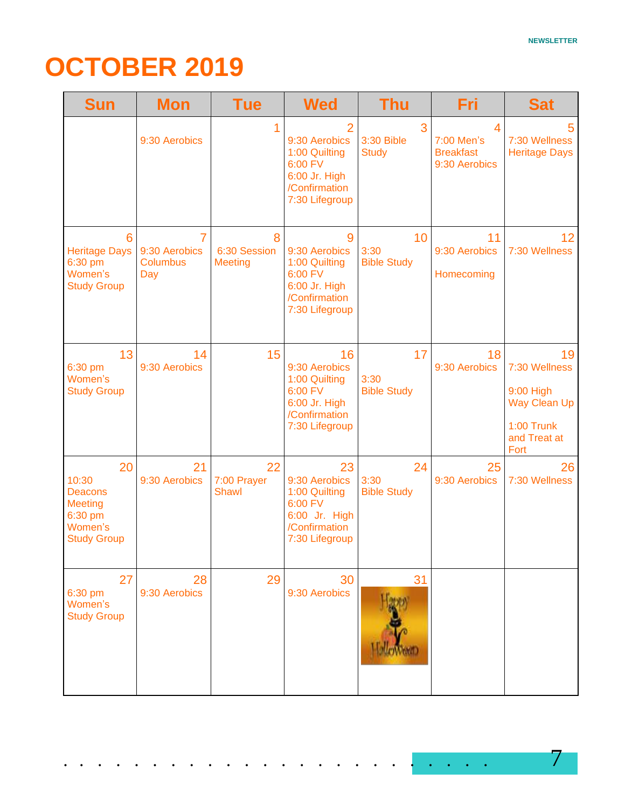# **OCTOBER 2019**

| <b>Sun</b>                                                                                  | <b>Mon</b>                                   | <b>Tue</b>                          | <b>Wed</b>                                                                                          | <b>Thu</b>                       | Fri                                                  | <b>Sat</b>                                                                                    |
|---------------------------------------------------------------------------------------------|----------------------------------------------|-------------------------------------|-----------------------------------------------------------------------------------------------------|----------------------------------|------------------------------------------------------|-----------------------------------------------------------------------------------------------|
|                                                                                             | 9:30 Aerobics                                |                                     | 2<br>9:30 Aerobics<br>1:00 Quilting<br>6:00 FV<br>6:00 Jr. High<br>/Confirmation<br>7:30 Lifegroup  | 3<br>3:30 Bible<br><b>Study</b>  | 4<br>7:00 Men's<br><b>Breakfast</b><br>9:30 Aerobics | 5<br>7:30 Wellness<br><b>Heritage Days</b>                                                    |
| 6<br><b>Heritage Days</b><br>6:30 pm<br>Women's<br><b>Study Group</b>                       | 7<br>9:30 Aerobics<br><b>Columbus</b><br>Day | 8<br>6:30 Session<br><b>Meeting</b> | 9<br>9:30 Aerobics<br>1:00 Quilting<br>6:00 FV<br>6:00 Jr. High<br>/Confirmation<br>7:30 Lifegroup  | 10<br>3:30<br><b>Bible Study</b> | 11<br>9:30 Aerobics<br>Homecoming                    | 12 <sub>2</sub><br>7:30 Wellness                                                              |
| 13<br>6:30 pm<br>Women's<br><b>Study Group</b>                                              | 14<br>9:30 Aerobics                          | 15                                  | 16<br>9:30 Aerobics<br>1:00 Quilting<br>6:00 FV<br>6:00 Jr. High<br>/Confirmation<br>7:30 Lifegroup | 17<br>3:30<br><b>Bible Study</b> | 18<br>9:30 Aerobics                                  | 19<br>7:30 Wellness<br>9:00 High<br><b>Way Clean Up</b><br>1:00 Trunk<br>and Treat at<br>Fort |
| 20<br>10:30<br><b>Deacons</b><br><b>Meeting</b><br>6:30 pm<br>Women's<br><b>Study Group</b> | 21<br>9:30 Aerobics                          | 22<br>7:00 Prayer<br><b>Shawl</b>   | 23<br>9:30 Aerobics<br>1:00 Quilting<br>6:00 FV<br>6:00 Jr. High<br>/Confirmation<br>7:30 Lifegroup | 24<br>3:30<br><b>Bible Study</b> | 25<br>9:30 Aerobics                                  | 26<br>7:30 Wellness                                                                           |
| 27<br>6:30 pm<br>Women's<br><b>Study Group</b>                                              | 28<br>9:30 Aerobics                          | 29                                  | 30<br>9:30 Aerobics                                                                                 | 31                               |                                                      |                                                                                               |